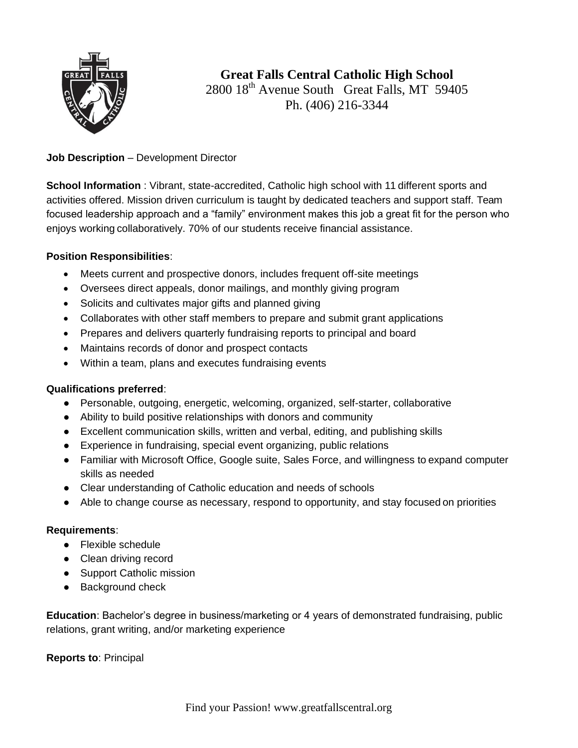

# **Great Falls Central Catholic High School** 2800 18<sup>th</sup> Avenue South Great Falls, MT 59405 Ph. (406) 216-3344

## **Job Description** – Development Director

**School Information** : Vibrant, state-accredited, Catholic high school with 11 different sports and activities offered. Mission driven curriculum is taught by dedicated teachers and support staff. Team focused leadership approach and a "family" environment makes this job a great fit for the person who enjoys working collaboratively. 70% of our students receive financial assistance.

#### **Position Responsibilities**:

- Meets current and prospective donors, includes frequent off-site meetings
- Oversees direct appeals, donor mailings, and monthly giving program
- Solicits and cultivates major gifts and planned giving
- Collaborates with other staff members to prepare and submit grant applications
- Prepares and delivers quarterly fundraising reports to principal and board
- Maintains records of donor and prospect contacts
- Within a team, plans and executes fundraising events

#### **Qualifications preferred**:

- Personable, outgoing, energetic, welcoming, organized, self-starter, collaborative
- Ability to build positive relationships with donors and community
- Excellent communication skills, written and verbal, editing, and publishing skills
- Experience in fundraising, special event organizing, public relations
- Familiar with Microsoft Office, Google suite, Sales Force, and willingness to expand computer skills as needed
- Clear understanding of Catholic education and needs of schools
- Able to change course as necessary, respond to opportunity, and stay focused on priorities

#### **Requirements**:

- Flexible schedule
- Clean driving record
- Support Catholic mission
- Background check

**Education**: Bachelor's degree in business/marketing or 4 years of demonstrated fundraising, public relations, grant writing, and/or marketing experience

**Reports to**: Principal